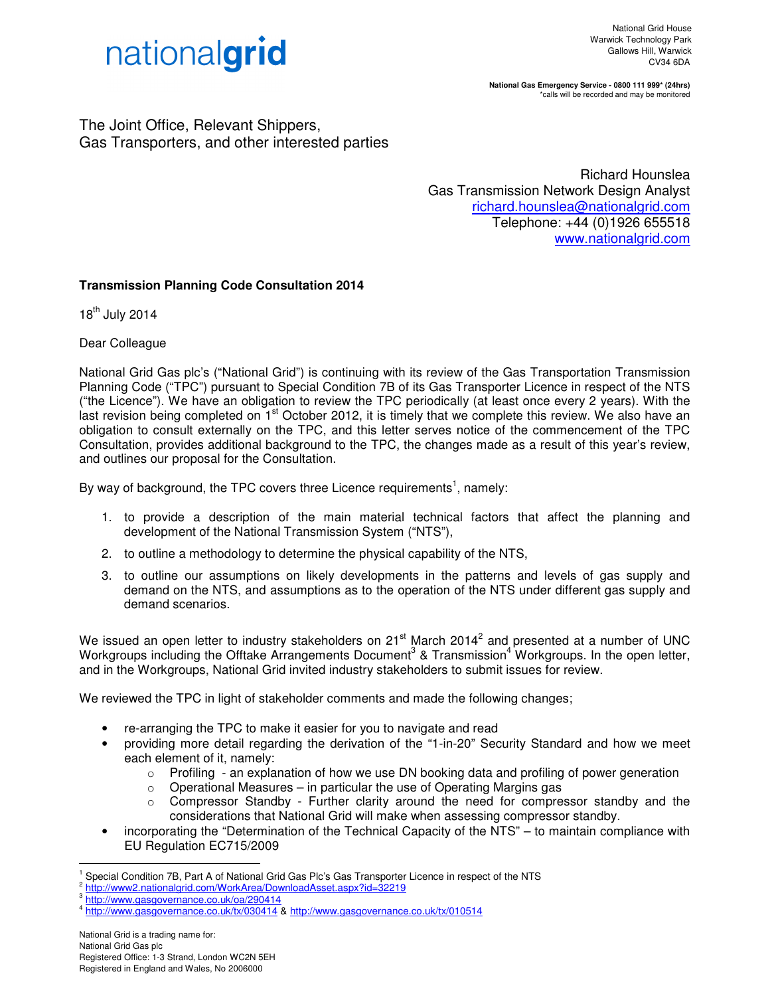

**National Gas Emergency Service - 0800 111 999\* (24hrs)**  \*calls will be recorded and may be monitored

The Joint Office, Relevant Shippers, Gas Transporters, and other interested parties

> Richard Hounslea Gas Transmission Network Design Analyst richard.hounslea@nationalgrid.com Telephone: +44 (0)1926 655518 www.nationalgrid.com

## **Transmission Planning Code Consultation 2014**

18<sup>th</sup> July 2014

Dear Colleague

National Grid Gas plc's ("National Grid") is continuing with its review of the Gas Transportation Transmission Planning Code ("TPC") pursuant to Special Condition 7B of its Gas Transporter Licence in respect of the NTS ("the Licence"). We have an obligation to review the TPC periodically (at least once every 2 years). With the last revision being completed on  $1<sup>st</sup>$  October 2012, it is timely that we complete this review. We also have an obligation to consult externally on the TPC, and this letter serves notice of the commencement of the TPC Consultation, provides additional background to the TPC, the changes made as a result of this year's review, and outlines our proposal for the Consultation.

By way of background, the TPC covers three Licence requirements<sup>1</sup>, namely:

- 1. to provide a description of the main material technical factors that affect the planning and development of the National Transmission System ("NTS"),
- 2. to outline a methodology to determine the physical capability of the NTS,
- 3. to outline our assumptions on likely developments in the patterns and levels of gas supply and demand on the NTS, and assumptions as to the operation of the NTS under different gas supply and demand scenarios.

We issued an open letter to industry stakeholders on 21<sup>st</sup> March 2014<sup>2</sup> and presented at a number of UNC Workgroups including the Offtake Arrangements Document<sup>3</sup> & Transmission<sup>4</sup> Workgroups. In the open letter, and in the Workgroups, National Grid invited industry stakeholders to submit issues for review.

We reviewed the TPC in light of stakeholder comments and made the following changes;

- re-arranging the TPC to make it easier for you to navigate and read
- providing more detail regarding the derivation of the "1-in-20" Security Standard and how we meet each element of it, namely:
	- $\circ$  Profiling an explanation of how we use DN booking data and profiling of power generation
	- $\circ$  Operational Measures in particular the use of Operating Margins gas
	- $\circ$  Compressor Standby Further clarity around the need for compressor standby and the considerations that National Grid will make when assessing compressor standby.
- incorporating the "Determination of the Technical Capacity of the NTS" to maintain compliance with EU Regulation EC715/2009

 $\overline{a}$ 

<sup>1</sup> Special Condition 7B, Part A of National Grid Gas Plc's Gas Transporter Licence in respect of the NTS

<sup>&</sup>lt;sup>2</sup> http://www2.nationalgrid.com/WorkArea/DownloadAsset.aspx?id=32219<br><sup>3</sup> http://www.gessoverpapee.co.uk/oo/200414

http://www.gasgovernance.co.uk/oa/290414

<sup>4</sup> http://www.gasgovernance.co.uk/tx/030414 & http://www.gasgovernance.co.uk/tx/010514